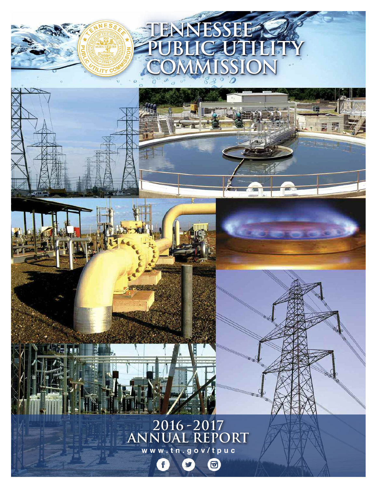



 $\mathbf f$ 

 $\bigcirc$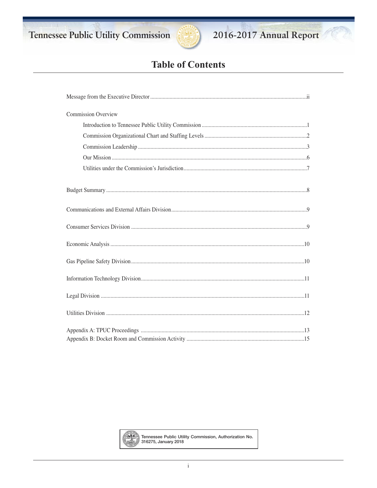Tennessee Public Utility Commission



# 2016-2017 Annual Report

# **Table of Contents**

| <b>Commission Overview</b> |
|----------------------------|
|                            |
|                            |
|                            |
|                            |
|                            |
|                            |
|                            |
|                            |
|                            |
|                            |
|                            |
|                            |
|                            |
|                            |



Tennessee Public Utility Commission, Authorization No.<br>316275, January 2018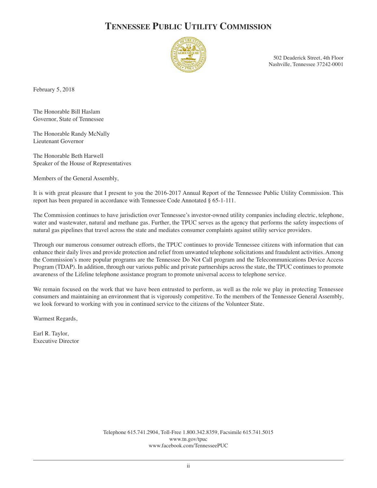# **TENNESSEE PUBLIC UTILITY COMMISSION**



502 Deaderick Street, 4th Floor Nashville, Tennessee 37242-0001

February 5, 2018

The Honorable Bill Haslam Governor, State of Tennessee

The Honorable Randy McNally Lieutenant Governor

The Honorable Beth Harwell Speaker of the House of Representatives

Members of the General Assembly,

It is with great pleasure that I present to you the 2016-2017 Annual Report of the Tennessee Public Utility Commission. This report has been prepared in accordance with Tennessee Code Annotated § 65-1-111.

The Commission continues to have jurisdiction over Tennessee's investor-owned utility companies including electric, telephone, water and wastewater, natural and methane gas. Further, the TPUC serves as the agency that performs the safety inspections of natural gas pipelines that travel across the state and mediates consumer complaints against utility service providers.

Through our numerous consumer outreach efforts, the TPUC continues to provide Tennessee citizens with information that can enhance their daily lives and provide protection and relief from unwanted telephone solicitations and fraudulent activities. Among the Commission's more popular programs are the Tennessee Do Not Call program and the Telecommunications Device Access Program (TDAP). In addition, through our various public and private partnerships across the state, the TPUC continues to promote awareness of the Lifeline telephone assistance program to promote universal access to telephone service.

We remain focused on the work that we have been entrusted to perform, as well as the role we play in protecting Tennessee consumers and maintaining an environment that is vigorously competitive. To the members of the Tennessee General Assembly, we look forward to working with you in continued service to the citizens of the Volunteer State.

Warmest Regards,

Earl R. Taylor, Executive Director

> Telephone 615.741.2904, Toll-Free 1.800.342.8359, Facsimile 615.741.5015 www.tn.gov/tpuc www.facebook.com/TennesseePUC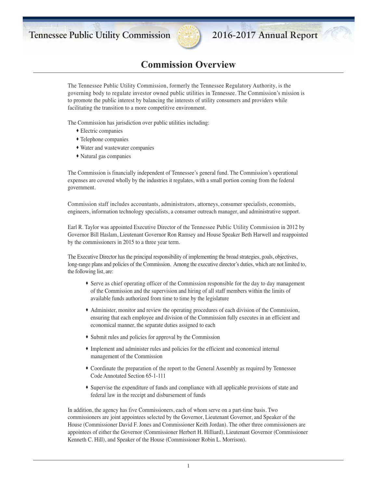

## **Commission Overview**

The Tennessee Public Utility Commission, formerly the Tennessee Regulatory Authority, is the governing body to regulate investor owned public utilities in Tennessee. The Commission's mission is to promote the public interest by balancing the interests of utility consumers and providers while facilitating the transition to a more competitive environment.

The Commission has jurisdiction over public utilities including:

- ∑ Electric companies
- ∑ Telephone companies
- ∑ Water and wastewater companies
- ∑ Natural gas companies

The Commission is financially independent of Tennessee's general fund. The Commission's operational expenses are covered wholly by the industries it regulates, with a small portion coming from the federal government.

Commission staff includes accountants, administrators, attorneys, consumer specialists, economists, engineers, information technology specialists, a consumer outreach manager, and administrative support.

Earl R. Taylor was appointed Executive Director of the Tennessee Public Utility Commission in 2012 by Governor Bill Haslam, Lieutenant Governor Ron Ramsey and House Speaker Beth Harwell and reappointed by the commissioners in 2015 to a three year term.

The Executive Director has the principal responsibility of implementing the broad strategies, goals, objectives, long-range plans and policies of the Commission. Among the executive director's duties, which are not limited to, the following list, are:

- ∑ Serve as chief operating officer of the Commission responsible for the day to day management of the Commission and the supervision and hiring of all staff members within the limits of available funds authorized from time to time by the legislature
- ◆ Administer, monitor and review the operating procedures of each division of the Commission, ensuring that each employee and division of the Commission fully executes in an efficient and economical manner, the separate duties assigned to each
- ∑ Submit rules and policies for approval by the Commission
- ∑ Implement and administer rules and policies for the efficient and economical internal management of the Commission
- ∑ Coordinate the preparation of the report to the General Assembly as required by Tennessee Code Annotated Section 65-1-111
- ∑ Supervise the expenditure of funds and compliance with all applicable provisions of state and federal law in the receipt and disbursement of funds

In addition, the agency has five Commissioners, each of whom serve on a part-time basis. Two commissioners are joint appointees selected by the Governor, Lieutenant Governor, and Speaker of the House (Commissioner David F. Jones and Commissioner Keith Jordan). The other three commissioners are appointees of either the Governor (Commissioner Herbert H. Hilliard), Lieutenant Governor (Commissioner Kenneth C. Hill), and Speaker of the House (Commissioner Robin L. Morrison).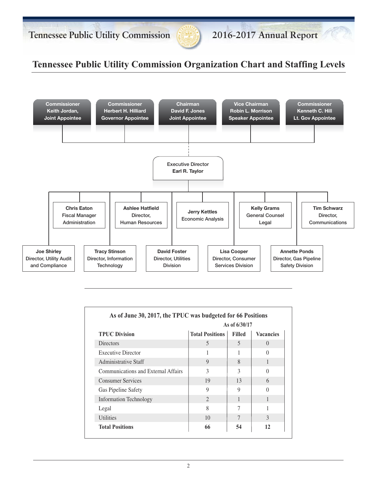

# **Tennessee Public Utility Commission Organization Chart and Staffing Levels**



|                                     | As of 6/30/17               |               |                  |
|-------------------------------------|-----------------------------|---------------|------------------|
| <b>TPUC Division</b>                | <b>Total Positions</b>      | <b>Filled</b> | <b>Vacancies</b> |
| <b>Directors</b>                    | 5                           | 5             | $\Omega$         |
| <b>Executive Director</b>           |                             |               | $\Omega$         |
| Administrative Staff                | 9                           | 8             |                  |
| Communications and External Affairs | 3                           | 3             | $\Omega$         |
| <b>Consumer Services</b>            | 19                          | 13            | 6                |
| Gas Pipeline Safety                 | 9                           | 9             | $\Omega$         |
| <b>Information Technology</b>       | $\mathcal{D}_{\mathcal{A}}$ | 1             | 1                |
| Legal                               | 8                           | 7             |                  |
| <b>Utilities</b>                    | 10                          |               | $\mathcal{R}$    |
| <b>Total Positions</b>              | 66                          | 54            | 12               |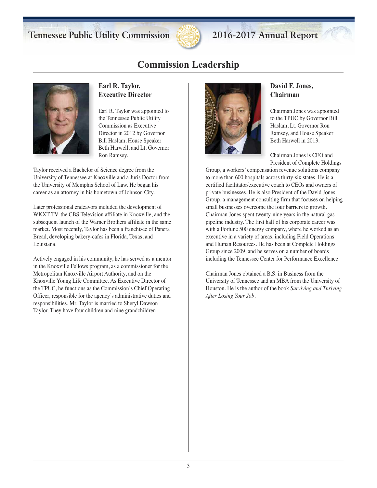

## **Commission Leadership**



### **Earl R. Taylor, Executive Director**

Earl R. Taylor was appointed to the Tennessee Public Utility Commission as Executive Director in 2012 by Governor Bill Haslam, House Speaker Beth Harwell, and Lt. Governor Ron Ramsey.

Taylor received a Bachelor of Science degree from the University of Tennessee at Knoxville and a Juris Doctor from the University of Memphis School of Law. He began his career as an attorney in his hometown of Johnson City.

Later professional endeavors included the development of WKXT-TV, the CBS Television affiliate in Knoxville, and the subsequent launch of the Warner Brothers affiliate in the same market. Most recently, Taylor has been a franchisee of Panera Bread, developing bakery-cafes in Florida, Texas, and Louisiana.

Actively engaged in his community, he has served as a mentor in the Knoxville Fellows program, as a commissioner for the Metropolitan Knoxville Airport Authority, and on the Knoxville Young Life Committee. As Executive Director of the TPUC, he functions as the Commission's Chief Operating Officer, responsible for the agency's administrative duties and responsibilities. Mr. Taylor is married to Sheryl Dawson Taylor. They have four children and nine grandchildren.



### **David F. Jones, Chairman**

Chairman Jones was appointed to the TPUC by Governor Bill Haslam, Lt. Governor Ron Ramsey, and House Speaker Beth Harwell in 2013.

Chairman Jones is CEO and President of Complete Holdings

Group, a workers' compensation revenue solutions company to more than 600 hospitals across thirty-six states. He is a certified facilitator/executive coach to CEOs and owners of private businesses. He is also President of the David Jones Group, a management consulting firm that focuses on helping small businesses overcome the four barriers to growth. Chairman Jones spent twenty-nine years in the natural gas pipeline industry. The first half of his corporate career was with a Fortune 500 energy company, where he worked as an executive in a variety of areas, including Field Operations and Human Resources. He has been at Complete Holdings Group since 2009, and he serves on a number of boards including the Tennessee Center for Performance Excellence.

Chairman Jones obtained a B.S. in Business from the University of Tennessee and an MBA from the University of Houston. He is the author of the book *Surviving and Thriving After Losing Your Job.*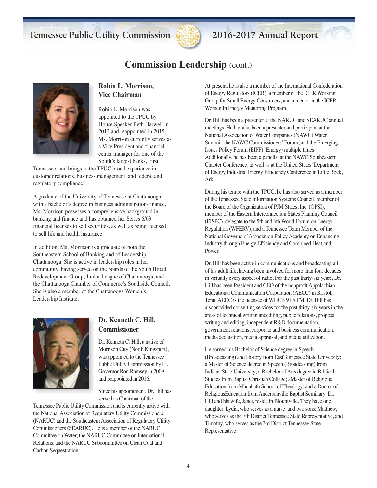

## **Commission Leadership** (cont.)



### **Robin L. Morrison, Vice Chairman**

Robin L. Morrison was appointed to the TPUC by House Speaker Beth Harwell in 2013 and reappointed in 2015. Ms. Morrison currently serves as a Vice President and financial center manager for one of the South's largest banks, First

Tennessee, and brings to the TPUC broad experience in customer relations, business management, and federal and regulatory compliance.

A graduate of the University of Tennessee at Chattanooga with a bachelor's degree in business administration-finance, Ms. Morrison possesses a comprehensive background in banking and finance and has obtained her Series 6/63 financial licenses to sell securities, as well as being licensed to sell life and health insurance.

In addition, Ms. Morrison is a graduate of both the Southeastern School of Banking and of Leadership Chattanooga. She is active in leadership roles in her community, having served on the boards of the South Broad Redevelopment Group, Junior League of Chattanooga, and the Chattanooga Chamber of Commerce's Southside Council. She is also a member of the Chattanooga Women's Leadership Institute.



## **Dr. Kenneth C. Hill, Commissioner**

Dr. Kenneth C. Hill, a native of Morrison City (North Kingsport), was appointed to the Tennessee Public Utility Commission by Lt. Governor Ron Ramsey in 2009 and reappointed in 2016.

Since his appointment, Dr. Hill has served as Chairman of the

Tennessee Public Utility Commission and is currently active with the National Association of Regulatory Utility Commissioners (NARUC) and the Southeastern Association of Regulatory Utility Commissioners (SEARUC). He is a member of the NARUC Committee on Water, the NARUC Committee on International Relations, and the NARUC Subcommittee on Clean Coal and Carbon Sequestration.

At present, he is also a member of the International Confederation of Energy Regulators (ICER), a member of the ICER Working Group for Small Energy Consumers, and a mentor in the ICER Women In Energy Mentoring Program.

Dr. Hill has been a presenter at the NARUC and SEARUC annual meetings. He has also been a presenter and participant at the National Association of Water Companies (NAWC) Water Summit, the NAWC Commissioners'Forum, and the Emerging Issues Policy Forum (EIPF) (Energy) multiple times. Additionally, he has been a panelist at the NAWC Southeastern Chapter Conference, as well as at the United States'Department of Energy Industrial Energy Efficiency Conference in Little Rock, Ark.

During his tenure with the TPUC, he has also served as a member of the Tennessee State Information Systems Council, member of the Board of the Organization of PJM States, Inc. (OPSI), member of the Eastern Interconnection States Planning Council (EISPC), delegate to the 5th and 6th World Forum on Energy Regulation (WFERV), and a Tennessee Team Member of the National Governors'Association Policy Academy on Enhancing Industry through Energy Efficiency and Combined Heat and Power.

Dr. Hill has been active in communications and broadcasting all of his adult life, having been involved for more than four decades in virtually every aspect of radio. For the past thirty-six years, Dr. Hill has been President and CEO of the nonprofit Appalachian Educational Communication Corporation (AECC) in Bristol, Tenn. AECC is the licensee of WHCB 91.5 FM. Dr. Hill has alsoprovided consulting services for the past thirty-six years in the areas of technical writing andediting, public relations, proposal writing and editing, independent R&D documentation, government relations, corporate and business communication, media acquisition, media appraisal, and media utilization.

He earned his Bachelor of Science degree in Speech (Broadcasting) and History from EastTennessee State University; a Master of Science degree in Speech (Broadcasting) from Indiana State University; a Bachelor of Arts degree in Biblical Studies from Baptist Christian College; aMaster of Religious Education from Manahath School of Theology; and a Doctor of ReligiousEducation fromAndersonville Baptist Seminary. Dr. Hill and his wife, Janet, reside in Blountville. They have one daughter, Lydia, who serves as a nurse, and two sons: Matthew, who serves as the 7th District Tennessee State Representative, and Timothy, who serves as the 3rd District Tennessee State Representative.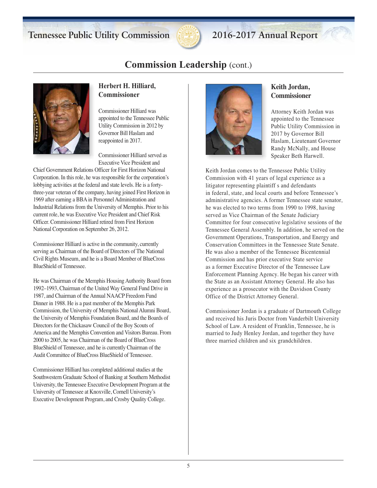

## **Commission Leadership** (cont.)



### **Herbert H. Hilliard, Commissioner**

Commissioner Hilliard was appointed to the Tennessee Public Utility Commission in 2012 by Governor Bill Haslam and reappointed in 2017.

Commissioner Hilliard served as Executive Vice President and

Chief Government Relations Officer for First Horizon National Corporation. In this role, he was responsible for the corporation's lobbying activities at the federal and state levels. He is a fortythree-year veteran of the company, having joined First Horizon in 1969 after earning a BBA in Personnel Administration and Industrial Relations from the University of Memphis. Prior to his current role, he was Executive Vice President and Chief Risk Officer. Commissioner Hilliard retired from First Horizon National Corporation on September 26, 2012.

Commissioner Hilliard is active in the community, currently serving as Chairman of the Board of Directors of The National Civil Rights Museum, and he is a Board Member of BlueCross BlueShield of Tennessee.

He was Chairman of the Memphis Housing Authority Board from 1992–1993, Chairman of the United Way General Fund Drive in 1987, and Chairman of the Annual NAACP Freedom Fund Dinner in 1988. He is a past member of the Memphis Park Commission, the University of Memphis National Alumni Board, the University of Memphis Foundation Board, and the Boards of Directors for the Chickasaw Council of the Boy Scouts of America and the Memphis Convention and Visitors Bureau. From 2000 to 2005, he was Chairman of the Board of BlueCross BlueShield of Tennessee, and he is currently Chairman of the Audit Committee of BlueCross BlueShield of Tennessee.

Commissioner Hilliard has completed additional studies at the Southwestern Graduate School of Banking at Southern Methodist University, the Tennessee Executive Development Program at the University of Tennessee at Knoxville, Cornell University's Executive Development Program, and Crosby Quality College.



### **Keith Jordan, Commissioner**

Attorney Keith Jordan was appointed to the Tennessee Public Utility Commission in 2017 by Governor Bill Haslam, Lieutenant Governor Randy McNally, and House Speaker Beth Harwell.

Keith Jordan comes to the Tennessee Public Utility Commission with 41 years of legal experience as a litigator representing plaintiff s and defendants in federal, state, and local courts and before Tennessee's administrative agencies. A former Tennessee state senator, he was elected to two terms from 1990 to 1998, having served as Vice Chairman of the Senate Judiciary Committee for four consecutive legislative sessions of the Tennessee General Assembly. In addition, he served on the Government Operations, Transportation, and Energy and Conservation Committees in the Tennessee State Senate. He was also a member of the Tennessee Bicentennial Commission and has prior executive State service as a former Executive Director of the Tennessee Law Enforcement Planning Agency. He began his career with the State as an Assistant Attorney General. He also has experience as a prosecutor with the Davidson County Office of the District Attorney General.

Commissioner Jordan is a graduate of Dartmouth College and received his Juris Doctor from Vanderbilt University School of Law. A resident of Franklin, Tennessee, he is married to Judy Henley Jordan, and together they have three married children and six grandchildren.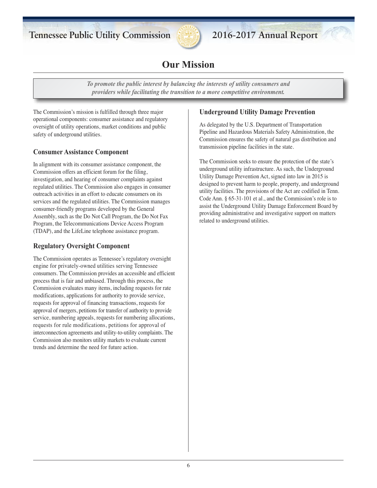

# **Our Mission**

*To promote the public interest by balancing the interests of utility consumers and providers while facilitating the transition to a more competitive environment.*

The Commission's mission is fulfilled through three major operational components: consumer assistance and regulatory oversight of utility operations, market conditions and public safety of underground utilities.

### **Consumer Assistance Component**

In alignment with its consumer assistance component, the Commission offers an efficient forum for the filing, investigation, and hearing of consumer complaints against regulated utilities. The Commission also engages in consumer outreach activities in an effort to educate consumers on its services and the regulated utilities. The Commission manages consumer-friendly programs developed by the General Assembly, such as the Do Not Call Program, the Do Not Fax Program, the Telecommunications Device Access Program (TDAP), and the LifeLine telephone assistance program.

### **Regulatory Oversight Component**

The Commission operates as Tennessee's regulatory oversight engine for privately-owned utilities serving Tennessee consumers. The Commission provides an accessible and efficient process that is fair and unbiased. Through this process, the Commission evaluates many items, including requests for rate modifications, applications for authority to provide service, requests for approval of financing transactions, requests for approval of mergers, petitions for transfer of authority to provide service, numbering appeals, requests for numbering allocations, requests for rule modifications, petitions for approval of interconnection agreements and utility-to-utility complaints. The Commission also monitors utility markets to evaluate current trends and determine the need for future action.

### **Underground Utility Damage Prevention**

As delegated by the U.S. Department of Transportation Pipeline and Hazardous Materials Safety Administration, the Commission ensures the safety of natural gas distribution and transmission pipeline facilities in the state.

The Commission seeks to ensure the protection of the state's underground utility infrastructure. As such, the Underground Utility Damage Prevention Act, signed into law in 2015 is designed to prevent harm to people, property, and underground utility facilities. The provisions of the Act are codified in Tenn. Code Ann. § 65-31-101 et al., and the Commission's role is to assist the Underground Utility Damage Enforcement Board by providing administrative and investigative support on matters related to underground utilities.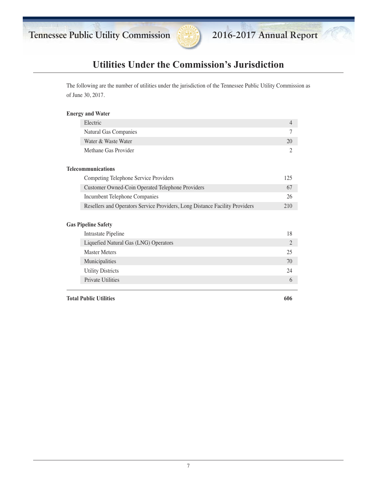

# **Utilities Under the Commission's Jurisdiction**

The following are the number of utilities under the jurisdiction of the Tennessee Public Utility Commission as of June 30, 2017.

#### **Energy and Water**

| Electric              | $\varDelta$ |
|-----------------------|-------------|
| Natural Gas Companies |             |
| Water & Waste Water   | 20          |
| Methane Gas Provider  |             |
|                       |             |

#### **Telecommunications**

| Competing Telephone Service Providers                                       | 125 |
|-----------------------------------------------------------------------------|-----|
| Customer Owned-Coin Operated Telephone Providers                            | 67  |
| Incumbent Telephone Companies                                               |     |
| Resellers and Operators Service Providers, Long Distance Facility Providers | 210 |

#### **Gas Pipeline Safety**

| Intrastate Pipeline                   | 18            |
|---------------------------------------|---------------|
| Liquefied Natural Gas (LNG) Operators | $\mathcal{L}$ |
| <b>Master Meters</b>                  | 25.           |
| Municipalities                        | 70            |
| <b>Utility Districts</b>              | 24            |
| <b>Private Utilities</b>              | 6             |
|                                       |               |

**Total Public Utilities 606**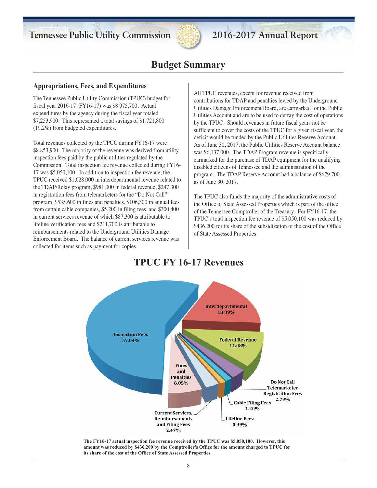

## **Budget Summary**

#### **Appropriations, Fees, and Expenditures**

The Tennessee Public Utility Commission (TPUC) budget for fiscal year 2016-17 (FY16-17) was \$8,975,700. Actual expenditures by the agency during the fiscal year totaled \$7,253,900. This represented a total savings of \$1,721,800 (19.2%) from budgeted expenditures.

Total revenues collected by the TPUC during FY16-17 were \$8,853,900. The majority of the revenue was derived from utility inspection fees paid by the public utilities regulated by the Commission. Total inspection fee revenue collected during FY16- 17 was \$5,050,100. In addition to inspection fee revenue, the TPUC received \$1,628,000 in interdepartmental revenue related to the TDAP/Relay program, \$981,000 in federal revenue, \$247,300 in registration fees from telemarketers for the "Do Not Call" program, \$535,600 in fines and penalties, \$106,300 in annual fees from certain cable companies, \$5,200 in filing fees, and \$300,400 in current services revenue of which \$87,300 is attributable to lifeline verification fees and \$211,700 is attributable to reimbursements related to the Underground Utilities Damage Enforcement Board. The balance of current services revenue was collected for items such as payment for copies.

All TPUC revenues, except for revenue received from contributions for TDAP and penalties levied by the Underground Utilities Damage Enforcement Board, are earmarked for the Public Utilities Account and are to be used to defray the cost of operations by the TPUC. Should revenues in future fiscal years not be sufficient to cover the costs of the TPUC for a given fiscal year, the deficit would be funded by the Public Utilities Reserve Account. As of June 30, 2017, the Public Utilities Reserve Account balance was \$6,137,000. The TDAP Program revenue is specifically earmarked for the purchase of TDAP equipment for the qualifying disabled citizens of Tennessee and the administration of the program. The TDAP Reserve Account had a balance of \$679,700 as of June 30, 2017.

The TPUC also funds the majority of the administrative costs of the Office of State Assessed Properties which is part of the office of the Tennessee Comptroller of the Treasury. For FY16-17, the TPUC's total inspection fee revenue of \$5,050,100 was reduced by \$436,200 for its share of the subsidization of the cost of the Office of State Assessed Properties.

# **TPUC FY 16-17 Revenues**



**The FY16-17 actual inspection fee revenue received by the TPUC was \$5,050,100. However, this amount was reduced by \$436,200 by the Comptroller's Office for the amount charged to TPUC for its share of the cost of the Office of State Assessed Properties.**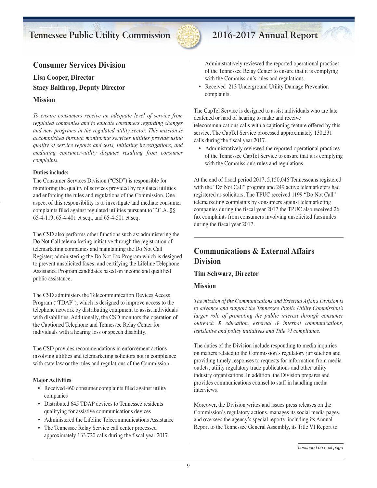

## **Consumer Services Division**

**Lisa Cooper, Director Stacy Balthrop, Deputy Director**

#### **Mission**

*To ensure consumers receive an adequate level of service from regulated companies and to educate consumers regarding changes and new programs in the regulated utility sector. This mission is accomplished through monitoring services utilities provide using quality of service reports and tests, initiating investigations, and mediating consumer-utility disputes resulting from consumer complaints.*

#### **Duties include:**

The Consumer Services Division ("CSD") is responsible for monitoring the quality of services provided by regulated utilities and enforcing the rules and regulations of the Commission. One aspect of this responsibility is to investigate and mediate consumer complaints filed against regulated utilities pursuant to T.C.A. §§ 65-4-119, 65-4-401 et seq., and 65-4-501 et seq.

The CSD also performs other functions such as: administering the Do Not Call telemarketing initiative through the registration of telemarketing companies and maintaining the Do Not Call Register; administering the Do Not Fax Program which is designed to prevent unsolicited faxes; and certifying the Lifeline Telephone Assistance Program candidates based on income and qualified public assistance.

The CSD administers the Telecommunication Devices Access Program ("TDAP"), which is designed to improve access to the telephone network by distributing equipment to assist individuals with disabilities. Additionally, the CSD monitors the operation of the Captioned Telephone and Tennessee Relay Center for individuals with a hearing loss or speech disability.

The CSD provides recommendations in enforcement actions involving utilities and telemarketing solicitors not in compliance with state law or the rules and regulations of the Commission.

#### **Major Activities**

- Received 460 consumer complaints filed against utility companies
- Distributed 645 TDAP devices to Tennessee residents qualifying for assistive communications devices
- Administered the Lifeline Telecommunications Assistance
- The Tennessee Relay Service call center processed approximately 133,720 calls during the fiscal year 2017.

Administratively reviewed the reported operational practices of the Tennessee Relay Center to ensure that it is complying with the Commission's rules and regulations.

• Received 213 Underground Utility Damage Prevention complaints.

The CapTel Service is designed to assist individuals who are late deafened or hard of hearing to make and receive telecommunications calls with a captioning feature offered by this service. The CapTel Service processed approximately 130,231 calls during the fiscal year 2017.

• Administratively reviewed the reported operational practices of the Tennessee CapTel Service to ensure that it is complying with the Commission's rules and regulations.

At the end of fiscal period 2017, 5,150,046 Tennesseans registered with the "Do Not Call" program and 249 active telemarketers had registered as solicitors. The TPUC received 1199 "Do Not Call" telemarketing complaints by consumers against telemarketing companies during the fiscal year 2017 the TPUC also received 26 fax complaints from consumers involving unsolicited facsimiles during the fiscal year 2017.

## **Communications & External Affairs Division**

### **Tim Schwarz, Director**

#### **Mission**

*The mission of the Communications and External Affairs Division is to advance and support the Tennessee Public Utility Commission's larger role of promoting the public interest through consumer outreach & education, external & internal communications, legislative and policy initiatives and Title VI compliance.*

The duties of the Division include responding to media inquiries on matters related to the Commission's regulatory jurisdiction and providing timely responses to requests for information from media outlets, utility regulatory trade publications and other utility industry organizations. In addition, the Division prepares and provides communications counsel to staff in handling media interviews.

Moreover, the Division writes and issues press releases on the Commission's regulatory actions, manages its social media pages, and oversees the agency's special reports, including its Annual Report to the Tennessee General Assembly, its Title VI Report to

*continued on next page*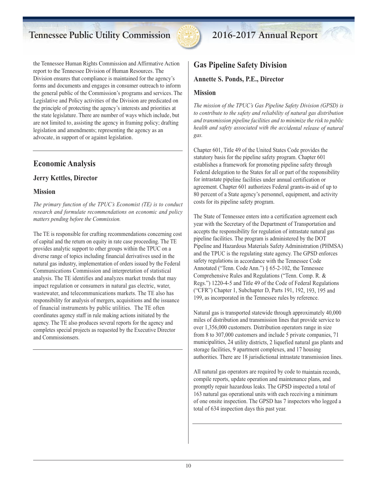

the Tennessee Human Rights Commission and Affirmative Action report to the Tennessee Division of Human Resources. The Division ensures that compliance is maintained for the agency's forms and documents and engages in consumer outreach to inform the general public of the Commission's programs and services. The Legislative and Policy activities of the Division are predicated on the principle of protecting the agency's interests and priorities at the state legislature. There are number of ways which include, but are not limited to, assisting the agency in framing policy; drafting legislation and amendments; representing the agency as an advocate, in support of or against legislation.

## **Economic Analysis**

### **Jerry Kettles, Director**

### **Mission**

*The primary function of the TPUC's Economist (TE) is to conduct research and formulate recommendations on economic and policy matters pending before the Commission.*

The TE is responsible for crafting recommendations concerning cost of capital and the return on equity in rate case proceeding. The TE provides analytic support to other groups within the TPUC on a diverse range of topics including financial derivatives used in the natural gas industry, implementation of orders issued by the Federal Communications Commission and interpretation of statistical analysis. The TE identifies and analyzes market trends that may impact regulation or consumers in natural gas electric, water, wastewater, and telecommunications markets. The TE also has responsibility for analysis of mergers, acquisitions and the issuance of financial instruments by public utilities. The TE often coordinates agency staff in rule making actions initiated by the agency. The TE also produces several reports for the agency and completes special projects as requested by the Executive Director and Commissionsers.

# **Gas Pipeline Safety Division**

**Annette S. Ponds, P.E., Director**

### **Mission**

*The mission of the TPUC's Gas Pipeline Safety Division (GPSD) is to contribute to the safety and reliability of natural gas distribution and transmission pipeline facilities and to minimize the risk to public health and safety associated with the accidental release of natural gas.*

Chapter 601, Title 49 of the United States Code provides the statutory basis for the pipeline safety program. Chapter 601 establishes <sup>a</sup> framework for promoting pipeline safety through Federal delegation to the States for all or par<sup>t</sup> of the responsibility for intrastate pipeline facilities under annual certification or agreement. Chapter 601 authorizes Federal grants-in-aid of up to 80 percen<sup>t</sup> of <sup>a</sup> State agency's personnel, equipment, and activity costs for its pipeline safety program.

The State of Tennessee enters into <sup>a</sup> certification agreemen<sup>t</sup> each year with the Secretary of the Department of Transportation and accepts the responsibility for regulation of intrastate natural gas pipeline facilities. The program is administered by the DOT Pipeline and Hazardous Materials Safety Administration (PHMSA) and the TPUC is the regulating state agency. The GPSD enforces safety regulations in accordance with the Tennessee Code Annotated ("Tenn. Code Ann.") § 65-2-102, the Tennessee Comprehensive Rules and Regulations ("Tenn. Comp. R. & Regs.") 1220-4-5 and Title 49 of the Code of Federal Regulations ("CFR") Chapter 1, Subchapter D, Parts 191, 192, 193, 195 and 199, as incorporated in the Tennessee rules by reference.

Natural gas is transported statewide through approximately 40,000 miles of distribution and transmission lines that provide service to over 1,356,000 customers. Distribution operators range in size from 8 to 307,000 customers and include 5 private companies, 71 municipalities, 24 utility districts, 2 liquefied natural gas plants and storage facilities, 9 apartment complexes, and 17 housing authorities. There are 18 jurisdictional intrastate transmission lines.

All natural gas operators are required by code to maintain records, compile reports, update operation and maintenance plans, and promptly repair hazardous leaks. The GPSD inspected <sup>a</sup> total of 163 natural gas operational units with each receiving <sup>a</sup> minimum of one onsite inspection. The GPSD has 7 inspectors who logged <sup>a</sup> total of 634 inspection days this pas<sup>t</sup> year.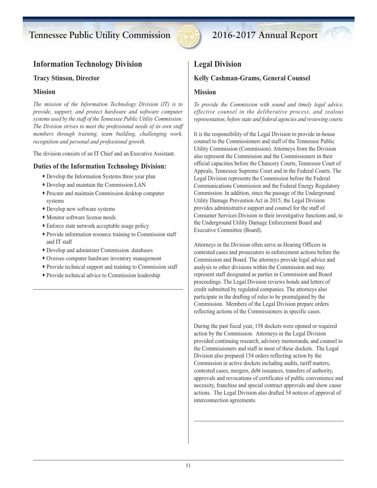

## **Information Technology Division**

#### **Tracy Stinson, Director**

#### **Mission**

*The mission of the Information Technology Division (IT) is to provide, support, and protect hardware and software computer systems used by the staff of the Tennessee Public Utility Commission. The Division strives to meet the professional needs of its own staff members through training, team building, challenging work, recognition and personal and professional growth.*

The division consists of an IT Chief and an Executive Assistant.

### **Duties of the Information Technology Division:**

- ∑ Develop the Information Systems three year plan
- ∑ Develop and maintain the Commission LAN
- ∑ Procure and maintain Commission desktop computer systems
- ∑ Develop new software systems
- ∑ Monitor software license needs
- ∑ Enforce state network acceptable usage policy
- ∑ Provide information resource training to Commission staff and IT staff
- ∑ Develop and administer Commission databases
- ∑ Oversee computer hardware inventory management
- ∑ Provide technical support and training to Commission staff
- ∑ Provide technical advice to Commission leadership

### **Legal Division**

### **Kelly Cashman-Grams, General Counsel**

#### **Mission**

*To provide the Commission with sound and timely legal advice, effective counsel in the deliberative process, and zealous representation, before state and federal agencies and reviewing courts.*

It is the responsibility of the Legal Division to provide in-house counsel to the Commissioners and staff of the Tennessee Public Utility Commission (Commission). Attorneys from the Division also represent the Commission and the Commissioners in their official capacities before the Chancery Courts, Tennessee Court of Appeals, Tennessee Supreme Court and in the Federal Courts. The Legal Division represents the Commission before the Federal Communications Commission and the Federal Energy Regulatory Commission. In addition, since the passage of the Underground Utility Damage Prevention Act in 2015, the Legal Division provides administrative support and counsel for the staff of Consumer Services Division in their investigative functions and, to the Underground Utility Damage Enforcement Board and Executive Committee (Board).

Attorneys in the Division often serve as Hearing Officers in contested cases and prosecutors in enforcement actions before the Commission and Board. The attorneys provide legal advice and analysis to other divisions within the Commission and may represent staff designated as parties in Commission and Board proceedings. The Legal Division reviews bonds and letters of credit submitted by regulated companies. The attorneys also participate in the drafting of rules to be promulgated by the Commission. Members of the Legal Division prepare orders reflecting actions of the Commissioners in specific cases.

During the past fiscal year, 158 dockets were opened or required action by the Commission. Attorneys in the Legal Division provided continuing research, advisory memoranda, and counsel to the Commissioners and staff in most of these dockets. The Legal Division also prepared 154 orders reflecting action by the Commission in active dockets including audits, tariff matters, contested cases, mergers, debt issuances, transfers of authority, approvals and revocations of certificates of public convenience and necessity, franchise and special contract approvals and show cause actions. The Legal Division also drafted 54 notices of approval of interconnection agreements.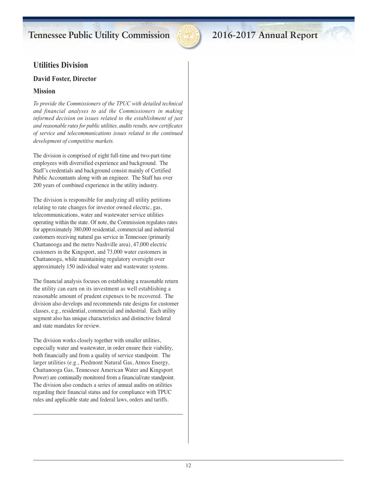

## **Utilities Division**

### **David Foster, Director**

### **Mission**

*To provide the Commissioners of the TPUC with detailed technical and financial analyses to aid the Commissioners in making informed decision on issues related to the establishment of just and reasonable ratesfor public utilities, auditsresults, new certificates of service and telecommunications issues related to the continued development of competitive markets.*

The division is comprised of eight full-time and two-part-time employees with diversified experience and background. The Staff's credentials and background consist mainly of Certified Public Accountants along with an engineer. The Staff has over 200 years of combined experience in the utility industry.

The division is responsible for analyzing all utility petitions relating to rate changes for investor owned electric, gas, telecommunications, water and wastewater service utilities operating within the state. Of note, the Commission regulates rates for approximately 380,000 residential, commercial and industrial customers receiving natural gas service in Tennessee (primarily Chattanooga and the metro Nashville area), 47,000 electric customers in the Kingsport, and 73,000 water customers in Chattanooga, while maintaining regulatory oversight over approximately 150 individual water and wastewater systems.

The financial analysis focuses on establishing a reasonable return the utility can earn on its investment as well establishing a reasonable amount of prudent expenses to be recovered. The division also develops and recommends rate designs for customer classes, e.g., residential, commercial and industrial. Each utility segment also has unique characteristics and distinctive federal and state mandates for review.

The division works closely together with smaller utilities, especially water and wastewater, in order ensure their viability, both financially and from a quality of service standpoint. The larger utilities (e.g., Piedmont Natural Gas, Atmos Energy, Chattanooga Gas, Tennessee American Water and Kingsport Power) are continually monitored from a financial/rate standpoint. The division also conducts a series of annual audits on utilities regarding their financial status and for compliance with TPUC rules and applicable state and federal laws, orders and tariffs.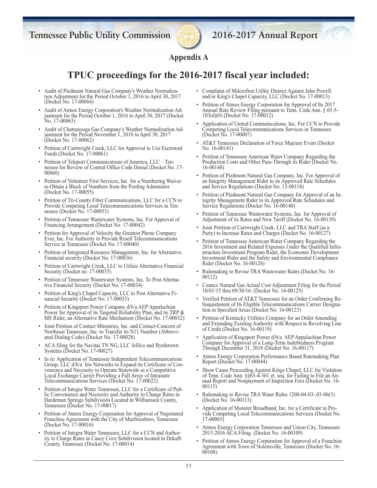

## **Appendix A**

## **TPUC proceedings for the 2016-2017 fiscal year included:**

- Audit of Piedmont Natural Gas Company's Weather Normaliza tion Adjustment for the Period October 1, 2016 to April 30, 2017 (Docket No. 17-00064)
- Audit of Atmos Energy Corporation's Weather Normalization Ad justment for the Period October 1, 2016 to April 30, 2017 (Docket No. 17-00063)
- Audit of Chattanooga Gas Company's Weather Normalization Ad justment for the Period November 1, 2016 to April 30, 2017 (Docket No. 17-00062)
- Petition of Cartwright Creek, LLC for Approval to Use Escrowed Funds (Docket No. 17-00061)
- Petition of Teleport Communications of America, LLC Ten nessee for Review of Central Office Code Denial (Docket No. 17- 00060)
- Petition of Volunteer First Services, Inc. for a Numbering Waiver to Obtain a Block of Numbers from the Pooling Administer (Docket No. 17-00055)
- Petition of Tri-County Fiber Communications, LLC for a CCN to Provide Competing Local Telecommunications Services in Ten nessee (Docket No. 17-00053)
- Petition of Tennessee Wastewater Systems, Inc. For Approval of Financing Arrangement (Docket No. 17-00042)
- Petition for Approval of Velocity the Greatest Phone Company Ever, Inc. For Authority to Provide Resell Telecommunications Service in Tennessee (Docket No. 17-00040)
- Petition of Integrated Resource Management, Inc. for Alternative Financial security (Docket No. 17-00036)
- Petition of Cartwright Creek, LLC to Utilize Alternative Financial Security (Docket no. 17-00035)
- Petition of Tennessee Wastewater Systems, Inc. To Post Alterna tive Financial Security (Docket No. 17-00034)
- Petition of King's Chapel Capacity, LLC to Post Alternative Fi nancial Security (Docket No. 17-00033)
- Petition of Kingsport Power Company d/b/a AEP Appalachian Power for Approval of its Targeted Reliability Plan, and its TRP & MS Rider, an Alternative Rate Mechanism (Docket No. 17-00032)
- Joint Petition of Contact Ministries, Inc. and Contact-Concern of Northeast Tennessee, Inc. to Transfer its N11 Number (Abbrevi ated Dialing Code) (Docket No. 17-00028)
- ACA filing for the Navitas TN NG, LLC Jellico and Byrdstown Systems (Docket No. 17-00027)
- In re: Application of Tennessee Independent Telecommunications Group, LLC d/b/a Iris Networks to Expand its Certificate of Con venience and Necessity to Operate Statewide as a Competitive Local Exchange Carrier Providing a Full Array of Intrastate Telecommunications Services (Docket No. 17-00022)
- Petition of Integra Water Tennessee, LLC for a Certificate of Public Convenience and Necessity and Authority to Charge Rates in Hardeman Springs Subdivision Located in Williamson County, Tennessee (Docket No. 17-00017)
- Petition of Atmos Energy Corporation for Approval of Negotiated Franchise Agreement with the City of Murfreesboro, Tennessee (Docket No. 17-00016)
- Petition of Integra Water Tennessee, LLC for a CCN and Authority to Charge Rates in Casey Cove Subdivision located in Dekalb County, Tennessee (Docket No. 17-00014)
- Complaint of Milcrofton Utility District Against John Powell and/or King's Chapel Capacity, LLC (Docket No. 17-00013)
- Petition of Atmos Energy Corporation for Approval of Its 2017 Annual Rate Review Filing pursuant to Tenn. Code Ann. § 65-5- 103(d)(6) (Docket No. 17-00012)
- Application of United Communications, Inc. For CCN to Provide Competing Local Telecommunications Services in Tennessee (Docket No. 17-00007)
- AT&T Tennessee Declaration of Force Majeure Event (Docket No. 16-00141)
- Petition of Tennessee American Water Company Regarding the Production Costs and Other Pass-Through its Rider (Docket No. 16-00148)
- Petition of Piedmont Natural Gas Company, Inc. For Approval of an Integrity Management Rider to its Approved Rate Schedules and Service Regulations (Docket No. 13-00118)
- Petition of Piedmont Natural Gas Company for Approval of an In tegrity Management Rider to its Approved Rate Schedules and Service Regulations (Docket No. 16-00140)
- Petition of Tennessee Wastewater Systems, Inc. for Approval of Adjustment of its Rates and New Tariff (Docket No. 16-00139)
- Joint Petition of Cartwright Creek, LLC and TRA Staff (as a Party) to Increase Rates and Charges (Docket No. 16-00127)
- Petition of Tennessee American Water Company Regarding the 2016 Investment and Related Expenses Under the Qualified Infra structure Investment Program Rider, the Economic Development Investment Rider and the Safety and Environmental Compliance Rider (Docket No. 16-00126)
- Rulemaking to Revise TRA Wastewater Rules (Docket No. 16- 00112)
- Counce Natural Gas Actual Cost Adjustment Filing for the Period 10/01/15 thru 09/30/16. (Docket No. 16-00125)
- Verified Petition of AT&T Tennessee for an Order Confirming Re linquishment of Its Eligible Telecommunications Carrier Designa tion in Specified Areas (Docket No. 16-00123)
- Petition of Kentucky Utilities Company for an Order Amending and Extending Existing Authority with Respect to Revolving Line of Credit (Docket No. 16-00119)
- Application of Kingsport Power d/b/a AEP Appalachian Power Company for Approval of a Long-Term Indebtedness Program Through December 31, 2018 (Docket No. 16-00117)
- Atmos Energy Corporation Performance Based Ratemaking Plan Report (Docket No. 17-00044)
- Show Cause Proceeding Against Kings Chapel, LLC for Violation of Tenn. Code Ann. §§65-4-301 et. seq. for Failing to File an An nual Report and Nonpayment of Inspection Fees (Docket No. 16- 00115)
- Rulemaking to Revise TRA Water Rules 1200-04-03-.03-06(3) (Docket No. 16-00113)
- Application of Monster Broadband, Inc. for a Certificate to Pro vide Competing Local Telecommunications Services (Docket No. 17-00065)
- Atmos Energy Corporation Tennessee and Union City, Tennessee 2015-2016 ACA Filing. (Docket No. 16-00109)
- Petition of Atmos Energy Corporation for Approval of a Franchise Agreement with Town of Nolensville, Tennessee (Docket No. 16- 00108)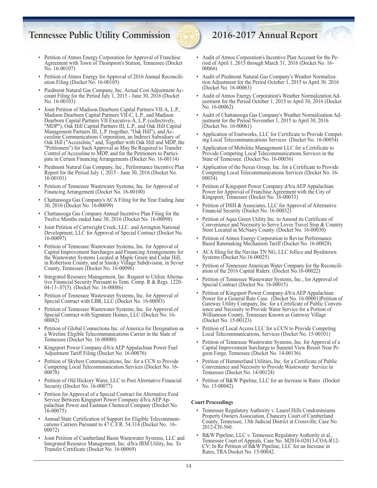

- Petition of Atmos Energy Corporation for Approval of Franchise Agreement with Town of Thompson's Station, Tennessee (Docket No. 16-00107)
- Petition of Atmos Energy for Approval of 2016 Annual Reconcili ation Filing (Docket No. 16-00105)
- Piedmont Natural Gas Company, Inc. Actual Cost Adjustment Ac count Filing for the Period July 1, 2015 - June 30, 2016 (Docket No. 16-00103)
- Joint Petition of Madison Dearborn Capital Partners VII-A, L.P., Madison Dearborn Capital Partners VII-C, L.P., and Madison Dearborn Capital Partners VII Executive-A, L.P. (collectively, "MDP"), Oak Hill Capital Partners III, L.P., and Oak Hill Capital Management Partners III, L.P. (together, "Oak Hill"), and Ac cessline Communications Corporation, an Indirect Subsidiary of Oak Hill ("Accessline," and, Together with Oak Hill and MDP, the "Petitioners") for Such Approval as May Be Required to Transfer Control of Accessline to MDP, and for the Petitioners to Partici pate in Certain Financing Arrangements (Docket No. 16-00114)
- Piedmont Natural Gas Company, Inc., Performance Incentive Plan Report for the Period July 1, 2015 - June 30, 2016 (Docket No. 16-00101)
- Petition of Tennessee Wastewater Systems, Inc. for Approval of Financing Arrangement (Docket No. 16-00100)
- Chattanooga Gas Company's ACA Filing for the Year Ending June 30, 2016 (Docket No. 16-00099)
- Chattanooga Gas Company Annual Incentive Plan Filing for the Twelve Months ended June 30, 2016 (Docket No. 16-00098)
- Joint Petition of Cartwright Creek, LLC. and Arrington National Development, LLC for Approval of Special Contract (Docket No. 16-00097)
- Petition of Tennessee Wastewater Systems, Inc. for Approval of Capital Improvement Surcharges and Financing Arrangements for the Wastewater Systems Located at Maple Green and Cedar Hill, in Robertson County, and at Smoky Village Subdivision, in Sevier County, Tennessee (Docket No. 16-00096)
- Integrated Resource Management, Inc. Request to Utilize Alterna tive Financial Security Pursuant to Tenn. Comp. R & Regs. 1220- 04-13-.07(5). (Docket No. 16-00086)
- Petition of Tennessee Wastewater Systems, Inc. for Approval of Special Contract with LBR, LLC (Docket No. 16-00083)
- Petition of Tennessee Wastewater Systems, Inc. for Approval of Special Contract with Signature Homes, LLC (Docket No. 16- 00082)
- Petition of Global Connections Inc. of America for Designation as a Wireline Eligible Telecommunications Carrier in the State of Tennessee (Docket No. 16-00080)
- Kingsport Power Company d/b/a AEP Appalachian Power Fuel Adjustment Tariff Filing (Docket No. 16-00076)
- Petition of Skybest Communications, Inc. for a CCN to Provide Competing Local Telecommunication Services (Docket No. 16- 00078)
- Petition of Old Hickory Water, LLC to Post Alternative Financial Security (Docket No. 16-00077)
- Petition for Approval of a Special Contract for Alternative Feed Service Between Kingsport Power Company d/b/a AEP Ap palachian Power and Eastman Chemical Company (Docket No. 16-00075)
- Annual State Certification of Support for Eligible Telecommuni cations Carriers Pursuant to 47 C.F.R. 54.314 (Docket No. 16- 00072)
- Joint Petition of Cumberland Basin Wastewater Systems, LLC and Integrated Resource Management, Inc. d/b/a IRM Utility, Inc. To Transfer Certificate (Docket No. 16-00069)

- Audit of Atmos Corporation's Incentive Plan Account for the Pe riod of April 1, 2015 through March 31, 2016 (Docket No. 16- 00066)
- Audit of Piedmont Natural Gas Company's Weather Normaliza tion Adjustment for the Period October 1, 2015 to April 30. 2016 (Docket No. 16-00063)
- Audit of Atmos Energy Corporation's Weather Normalization Ad justment for the Period October 1, 2015 to April 30, 2016 (Docket No. 16-00062)
- Audit of Chattanooga Gas Company's Weather Normalization Ad justment for the Period November 1, 2015 to April 30, 2016 (Docket No. 16-00061)
- Application of Enetworks, LLC for Certificate to Provide Compet ing Local Telecommunications Services (Docket No. 16-00054)
- Application of Mobilitie Management LLC for a Certificate to Provide Competing Local Telecommunications Services in the State of Tennessee. (Docket No. 16-00036)
- Application of the Nexus Group, Inc. for a Certificate to Provide Competing Local Telecommunications Services (Docket No. 16-00034)
- Petition of Kingsport Power Company d/b/a AEP Appalachian Power for Approval of Franchise Agreement with the City of Kingsport, Tennessee (Docket No. 16-00033)
- Petition of DSH & Associates, LLC for Approval of Alternative Financial Security (Docket No. 16-00032)
- Petition of Aqua Green Utility Inc. to Amend its Certificate of Convenience and Necessity to Serve Loves Travel Stop & Country Store Located in McNairy County. (Docket No. 16-00030)
- Petition of Atmos Energy Corporation to Revise Performance Based Ratemaking Mechanism Tariff (Docket No. 16-00028)
- ACA filing for the Navitas TN NG, LLC Jellico and Byrdstown Systems (Docket No.16-00025)
- Petition of Tennessee American Water Company for the Reconcili ation of the 2016 Capital Riders. (Docket No.16-00022)
- Petition of Tennessee Wastewater Systems, Inc., for Approval of Special Contract (Docket No. 16-00015)
- Petition of Kingsport Power Company d/b/a AEP Appalachian Power for a General Rate Case. (Docket No. 16-00001)Petition of Gateway Utility Company, Inc. for a Certificate of Public Conven ience and Necessity to Provide Water Service for a Portion of Williamson County, Tennessee Known as Gateway Village (Docket No. 15-00123)
- Petition of Local Access LLC for a CCN to Provide Competing Local Telecommunications, Services (Docket No. 15-00101)
- Petition of Tennessee Wastewater Systems, Inc. for Approval of a Capital Improvement Surcharge to Summit View Resort Near Pi geon Forge, Tennessee (Docket No. 14-00136)
- Petition of Hammerland Utilities, Inc. for a Certificate of Public Convenience and Necessity to Provide Wastewater Service in Tennessee (Docket No. 14-00124)
- Petition of B&W Pipeline, LLC for an Increase in Rates (Docket No. 15-00042)

#### **Court Proceedings**

- Tennessee Regulatory Authority v. Laurel Hills Condominiums Property Owners Association, Chancery Court of Cumberland County, Tennessee, 13th Judicial District at Crossville, Case No. 2012-CH-560.
- B&W Pipeline, LLC v. Tennessee Regulatory Authority et al. Tennessee Court of Appeals, Case No. M2016-02013-COA-R12- CV; In Re Petition of B&W Pipeline, LLC for an Increase in Rates, TRA Docket No. 15-00042.